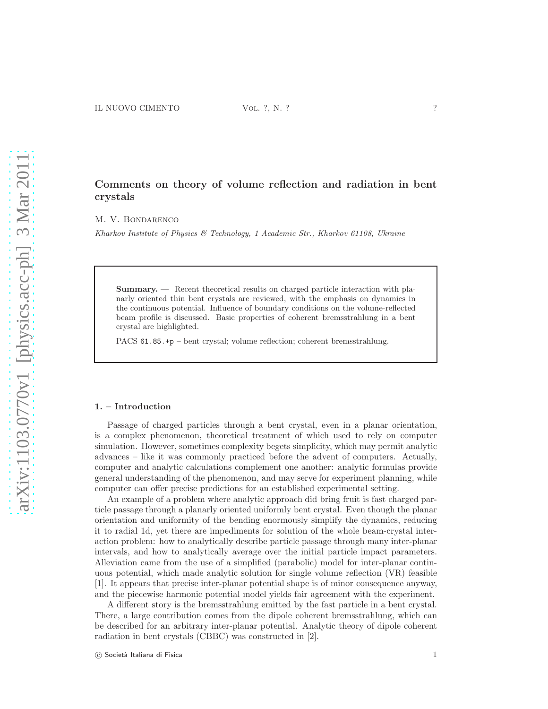# Comments on theory of volume reflection and radiation in bent crystals

M. V. Bondarenco

*Kharkov Institute of Physics & Technology, 1 Academic Str., Kharkov 61108, Ukraine*

Summary. — Recent theoretical results on charged particle interaction with planarly oriented thin bent crystals are reviewed, with the emphasis on dynamics in the continuous potential. Influence of boundary conditions on the volume-reflected beam profile is discussed. Basic properties of coherent bremsstrahlung in a bent crystal are highlighted.

PACS 61.85.+p – bent crystal; volume reflection; coherent bremsstrahlung.

#### 1. – Introduction

Passage of charged particles through a bent crystal, even in a planar orientation, is a complex phenomenon, theoretical treatment of which used to rely on computer simulation. However, sometimes complexity begets simplicity, which may permit analytic advances – like it was commonly practiced before the advent of computers. Actually, computer and analytic calculations complement one another: analytic formulas provide general understanding of the phenomenon, and may serve for experiment planning, while computer can offer precise predictions for an established experimental setting.

An example of a problem where analytic approach did bring fruit is fast charged particle passage through a planarly oriented uniformly bent crystal. Even though the planar orientation and uniformity of the bending enormously simplify the dynamics, reducing it to radial 1d, yet there are impediments for solution of the whole beam-crystal interaction problem: how to analytically describe particle passage through many inter-planar intervals, and how to analytically average over the initial particle impact parameters. Alleviation came from the use of a simplified (parabolic) model for inter-planar continuous potential, which made analytic solution for single volume reflection (VR) feasible [1]. It appears that precise inter-planar potential shape is of minor consequence anyway, and the piecewise harmonic potential model yields fair agreement with the experiment.

A different story is the bremsstrahlung emitted by the fast particle in a bent crystal. There, a large contribution comes from the dipole coherent bremsstrahlung, which can be described for an arbitrary inter-planar potential. Analytic theory of dipole coherent radiation in bent crystals (CBBC) was constructed in [2].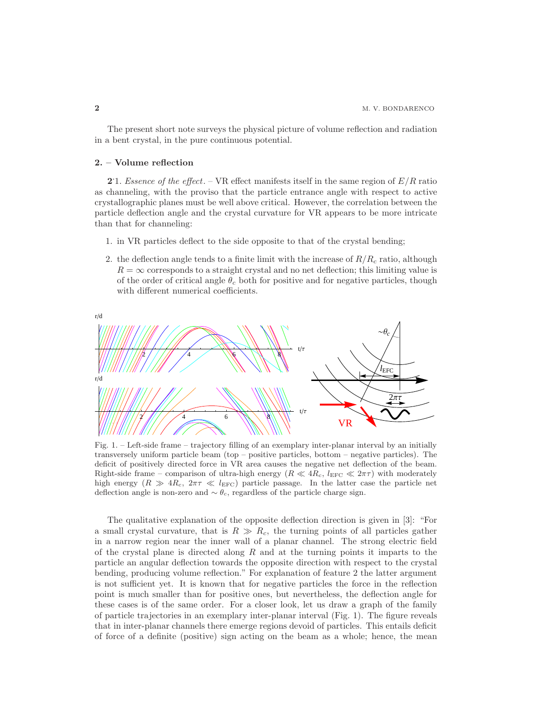The present short note surveys the physical picture of volume reflection and radiation in a bent crystal, in the pure continuous potential.

## 2. – Volume reflection

2.1. Essence of the effect. – VR effect manifests itself in the same region of  $E/R$  ratio as channeling, with the proviso that the particle entrance angle with respect to active crystallographic planes must be well above critical. However, the correlation between the particle deflection angle and the crystal curvature for VR appears to be more intricate than that for channeling:

- 1. in VR particles deflect to the side opposite to that of the crystal bending;
- 2. the deflection angle tends to a finite limit with the increase of  $R/R_c$  ratio, although  $R = \infty$  corresponds to a straight crystal and no net deflection; this limiting value is of the order of critical angle  $\theta_c$  both for positive and for negative particles, though with different numerical coefficients.



Fig. 1. – Left-side frame – trajectory filling of an exemplary inter-planar interval by an initially transversely uniform particle beam (top – positive particles, bottom – negative particles). The deficit of positively directed force in VR area causes the negative net deflection of the beam. Right-side frame – comparison of ultra-high energy  $(R \ll 4R_c, l_{\text{EFC}} \ll 2\pi\tau)$  with moderately high energy  $(R \gg 4R_c, 2\pi\tau \ll l_{\text{EFC}})$  particle passage. In the latter case the particle net deflection angle is non-zero and  $\sim \theta_c$ , regardless of the particle charge sign.

The qualitative explanation of the opposite deflection direction is given in [3]: "For a small crystal curvature, that is  $R \gg R_c$ , the turning points of all particles gather in a narrow region near the inner wall of a planar channel. The strong electric field of the crystal plane is directed along  $R$  and at the turning points it imparts to the particle an angular deflection towards the opposite direction with respect to the crystal bending, producing volume reflection." For explanation of feature 2 the latter argument is not sufficient yet. It is known that for negative particles the force in the reflection point is much smaller than for positive ones, but nevertheless, the deflection angle for these cases is of the same order. For a closer look, let us draw a graph of the family of particle trajectories in an exemplary inter-planar interval (Fig. 1). The figure reveals that in inter-planar channels there emerge regions devoid of particles. This entails deficit of force of a definite (positive) sign acting on the beam as a whole; hence, the mean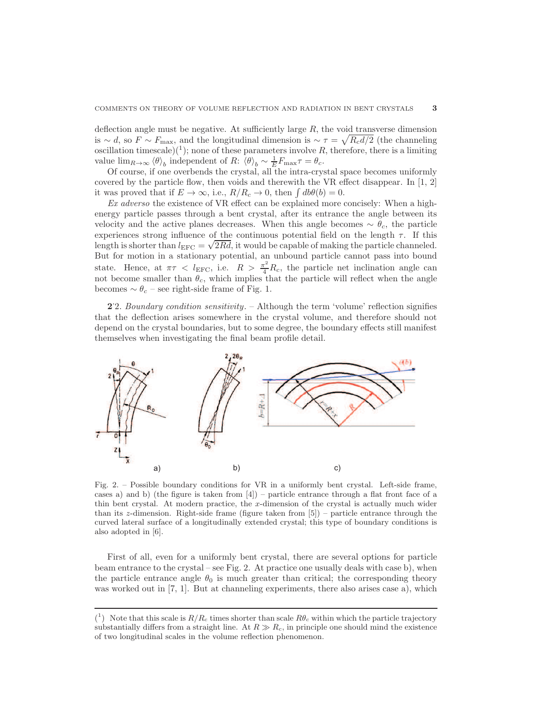deflection angle must be negative. At sufficiently large  $R$ , the void transverse dimension is ~ d, so  $F \sim F_{\text{max}}$ , and the longitudinal dimension is ~  $\tau = \sqrt{R_c d/2}$  (the channeling oscillation timescale)<sup>(1</sup>); none of these parameters involve R, therefore, there is a limiting value  $\lim_{R\to\infty} \langle \theta \rangle_b$  independent of R:  $\langle \theta \rangle_b \sim \frac{1}{E} F_{\text{max}} \tau = \theta_c$ .

Of course, if one overbends the crystal, all the intra-crystal space becomes uniformly covered by the particle flow, then voids and therewith the VR effect disappear. In [1, 2] it was proved that if  $E \to \infty$ , i.e.,  $R/R_c \to 0$ , then  $\int db\theta(b) = 0$ .

Ex adverso the existence of VR effect can be explained more concisely: When a highenergy particle passes through a bent crystal, after its entrance the angle between its velocity and the active planes decreases. When this angle becomes  $\sim \theta_c$ , the particle experiences strong influence of the continuous potential field on the length  $\tau$ . If this length is shorter than  $l_{\text{EFC}} = \sqrt{2Rd}$ , it would be capable of making the particle channeled. But for motion in a stationary potential, an unbound particle cannot pass into bound state. Hence, at  $\pi \tau < l_{\text{EFC}}$ , i.e.  $R > \frac{\pi^2}{4} R_c$ , the particle net inclination angle can not become smaller than  $\theta_c$ , which implies that the particle will reflect when the angle becomes  $\sim \theta_c$  – see right-side frame of Fig. 1.

2. Boundary condition sensitivity. – Although the term 'volume' reflection signifies that the deflection arises somewhere in the crystal volume, and therefore should not depend on the crystal boundaries, but to some degree, the boundary effects still manifest themselves when investigating the final beam profile detail.



Fig. 2. – Possible boundary conditions for VR in a uniformly bent crystal. Left-side frame, cases a) and b) (the figure is taken from  $[4]$ ) – particle entrance through a flat front face of a thin bent crystal. At modern practice, the x-dimension of the crystal is actually much wider than its z-dimension. Right-side frame (figure taken from [5]) – particle entrance through the curved lateral surface of a longitudinally extended crystal; this type of boundary conditions is also adopted in [6].

First of all, even for a uniformly bent crystal, there are several options for particle beam entrance to the crystal – see Fig. 2. At practice one usually deals with case b), when the particle entrance angle  $\theta_0$  is much greater than critical; the corresponding theory was worked out in [7, 1]. But at channeling experiments, there also arises case a), which

<sup>(&</sup>lt;sup>1</sup>) Note that this scale is  $R/R_c$  times shorter than scale  $R\theta_c$  within which the particle trajectory substantially differs from a straight line. At  $R \gg R_c$ , in principle one should mind the existence of two longitudinal scales in the volume reflection phenomenon.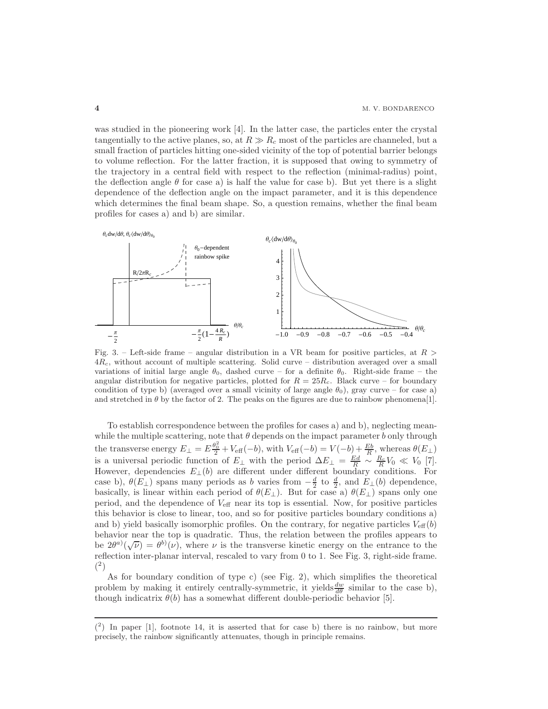was studied in the pioneering work [4]. In the latter case, the particles enter the crystal tangentially to the active planes, so, at  $R \gg R_c$  most of the particles are channeled, but a small fraction of particles hitting one-sided vicinity of the top of potential barrier belongs to volume reflection. For the latter fraction, it is supposed that owing to symmetry of the trajectory in a central field with respect to the reflection (minimal-radius) point, the deflection angle  $\theta$  for case a) is half the value for case b). But yet there is a slight dependence of the deflection angle on the impact parameter, and it is this dependence which determines the final beam shape. So, a question remains, whether the final beam profiles for cases a) and b) are similar.



Fig. 3. – Left-side frame – angular distribution in a VR beam for positive particles, at  $R >$  $4R_c$ , without account of multiple scattering. Solid curve – distribution averaged over a small variations of initial large angle  $\theta_0$ , dashed curve – for a definite  $\theta_0$ . Right-side frame – the angular distribution for negative particles, plotted for  $R = 25R<sub>c</sub>$ . Black curve – for boundary condition of type b) (averaged over a small vicinity of large angle  $\theta_0$ ), gray curve – for case a) and stretched in  $\theta$  by the factor of 2. The peaks on the figures are due to rainbow phenomena[1].

To establish correspondence between the profiles for cases a) and b), neglecting meanwhile the multiple scattering, note that  $\theta$  depends on the impact parameter b only through the transverse energy  $E_{\perp} = E \frac{\theta_0^2}{2} + V_{\text{eff}}(-b)$ , with  $V_{\text{eff}}(-b) = V(-b) + \frac{Eb}{R}$ , whereas  $\theta(E_{\perp})$ is a universal periodic function of  $E_{\perp}$  with the period  $\Delta E_{\perp} = \frac{Ed}{R} \sim \frac{R_c}{R} V_0 \ll V_0$  [7]. However, dependencies  $E_{\perp}(b)$  are different under different boundary conditions. For case b),  $\theta(E_{\perp})$  spans many periods as b varies from  $-\frac{d}{2}$  to  $\frac{d}{2}$ , and  $E_{\perp}(b)$  dependence, basically, is linear within each period of  $\theta(E_{\perp})$ . But for case a)  $\theta(E_{\perp})$  spans only one period, and the dependence of  $V_{\text{eff}}$  near its top is essential. Now, for positive particles this behavior is close to linear, too, and so for positive particles boundary conditions a) and b) yield basically isomorphic profiles. On the contrary, for negative particles  $V_{\text{eff}}(b)$ behavior near the top is quadratic. Thus, the relation between the profiles appears to be  $2\theta^{a}(\sqrt{\nu}) = \theta^{b}(\nu)$ , where  $\nu$  is the transverse kinetic energy on the entrance to the reflection inter-planar interval, rescaled to vary from 0 to 1. See Fig. 3, right-side frame.  $(2)$ 

As for boundary condition of type c) (see Fig. 2), which simplifies the theoretical problem by making it entirely centrally-symmetric, it yields  $\frac{dw}{d\theta}$  similar to the case b), though indicatrix  $\theta(b)$  has a somewhat different double-periodic behavior [5].

 $(2)$  In paper [1], footnote 14, it is asserted that for case b) there is no rainbow, but more precisely, the rainbow significantly attenuates, though in principle remains.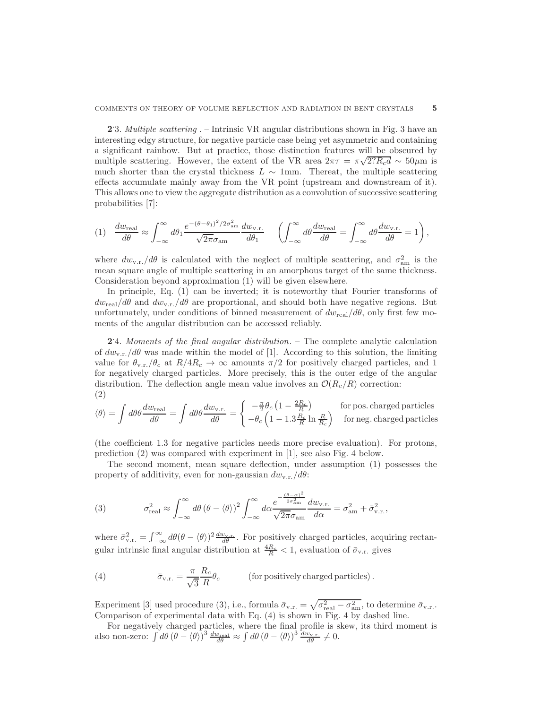2.3. Multiple scattering . – Intrinsic VR angular distributions shown in Fig. 3 have an interesting edgy structure, for negative particle case being yet asymmetric and containing a significant rainbow. But at practice, those distinction features will be obscured by multiple scattering. However, the extent of the VR area  $2\pi\tau = \pi\sqrt{2?R_c d} \sim 50 \mu m$  is much shorter than the crystal thickness  $L \sim 1$ mm. Thereat, the multiple scattering effects accumulate mainly away from the VR point (upstream and downstream of it). This allows one to view the aggregate distribution as a convolution of successive scattering probabilities [7]:

$$
(1) \quad \frac{dw_{\text{real}}}{d\theta} \approx \int_{-\infty}^{\infty} d\theta_1 \frac{e^{-(\theta-\theta_1)^2/2\sigma_{\text{am}}^2}}{\sqrt{2\pi}\sigma_{\text{am}}} \frac{dw_{\text{v.r.}}}{d\theta_1} \quad \left(\int_{-\infty}^{\infty} d\theta \frac{dw_{\text{real}}}{d\theta} = \int_{-\infty}^{\infty} d\theta \frac{dw_{\text{v.r.}}}{d\theta} = 1\right),
$$

where  $dw_{v.r.}/d\theta$  is calculated with the neglect of multiple scattering, and  $\sigma_{am}^2$  is the mean square angle of multiple scattering in an amorphous target of the same thickness. Consideration beyond approximation (1) will be given elsewhere.

In principle, Eq. (1) can be inverted; it is noteworthy that Fourier transforms of  $dw_{\text{real}}/d\theta$  and  $dw_{v,r.}/d\theta$  are proportional, and should both have negative regions. But unfortunately, under conditions of binned measurement of  $dw_{\text{real}}/d\theta$ , only first few moments of the angular distribution can be accessed reliably.

2.4. Moments of the final angular distribution. – The complete analytic calculation of  $dw_{v,r.}/d\theta$  was made within the model of [1]. According to this solution, the limiting value for  $\theta_{v,r.}/\theta_c$  at  $R/4R_c \rightarrow \infty$  amounts  $\pi/2$  for positively charged particles, and 1 for negatively charged particles. More precisely, this is the outer edge of the angular distribution. The deflection angle mean value involves an  $\mathcal{O}(R_c/R)$  correction: (2)

$$
\langle \theta \rangle = \int d\theta \theta \frac{dw_{\text{real}}}{d\theta} = \int d\theta \theta \frac{dw_{\text{v.r.}}}{d\theta} = \begin{cases} -\frac{\pi}{2} \theta_c \left(1 - \frac{2R_c}{R}\right) & \text{for pos. charged particles} \\ -\theta_c \left(1 - 1.3 \frac{R_c}{R} \ln \frac{R}{R_c}\right) & \text{for neg. charged particles} \end{cases}
$$

(the coefficient 1.3 for negative particles needs more precise evaluation). For protons, prediction (2) was compared with experiment in [1], see also Fig. 4 below.

The second moment, mean square deflection, under assumption (1) possesses the property of additivity, even for non-gaussian  $dw_{v,r}/d\theta$ :

(3) 
$$
\sigma_{\text{real}}^2 \approx \int_{-\infty}^{\infty} d\theta \, (\theta - \langle \theta \rangle)^2 \int_{-\infty}^{\infty} d\alpha \frac{e^{-\frac{(\theta - \alpha)^2}{2\sigma_{\text{am}}^2}}}{\sqrt{2\pi}\sigma_{\text{am}}} \frac{dw_{\text{v.r.}}}{d\alpha} = \sigma_{\text{am}}^2 + \bar{\sigma}_{\text{v.r.}}^2,
$$

where  $\bar{\sigma}_{v.r.}^2 = \int_{-\infty}^{\infty} d\theta (\theta - \langle \theta \rangle)^2 \frac{dw_{v.r.}}{d\theta}$ . For positively charged particles, acquiring rectangular intrinsic final angular distribution at  $\frac{4R_c}{R} < 1$ , evaluation of  $\bar{\sigma}_{v.r.}$  gives

(4) 
$$
\bar{\sigma}_{v.r.} = \frac{\pi}{\sqrt{3}} \frac{R_c}{R} \theta_c \qquad \text{(for positively charged particles)}.
$$

Experiment [3] used procedure (3), i.e., formula  $\bar{\sigma}_{v.r.} = \sqrt{\sigma_{\text{real}}^2 - \sigma_{\text{am}}^2}$ , to determine  $\bar{\sigma}_{v.r.}$ . Comparison of experimental data with Eq. (4) is shown in Fig. 4 by dashed line.

For negatively charged particles, where the final profile is skew, its third moment is also non-zero:  $\int d\theta \, (\theta - \langle \theta \rangle)^3 \, \frac{dw_{\text{real}}}{d\theta} \approx \int d\theta \, (\theta - \langle \theta \rangle)^3 \, \frac{dw_{\text{v.r.}}}{d\theta} \neq 0.$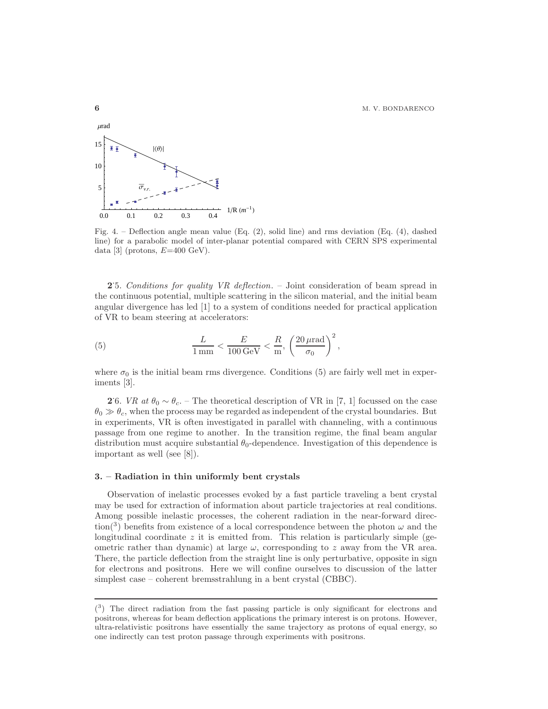**6** M. V. BONDARENCO



Fig. 4. – Deflection angle mean value  $(Eq. (2),$  solid line) and rms deviation  $(Eq. (4),$  dashed line) for a parabolic model of inter-planar potential compared with CERN SPS experimental data [3] (protons,  $E=400 \text{ GeV}$ ).

2.5. Conditions for quality VR deflection. – Joint consideration of beam spread in the continuous potential, multiple scattering in the silicon material, and the initial beam angular divergence has led [1] to a system of conditions needed for practical application of VR to beam steering at accelerators:

(5) 
$$
\frac{L}{1 \text{ mm}} < \frac{E}{100 \text{ GeV}} < \frac{R}{\text{m}}, \left(\frac{20 \text{ }\mu\text{rad}}{\sigma_0}\right)^2,
$$

where  $\sigma_0$  is the initial beam rms divergence. Conditions (5) are fairly well met in experiments [3].

**2**'6. *VR* at  $\theta_0 \sim \theta_c$ . – The theoretical description of VR in [7, 1] focussed on the case  $\theta_0 \gg \theta_c$ , when the process may be regarded as independent of the crystal boundaries. But in experiments, VR is often investigated in parallel with channeling, with a continuous passage from one regime to another. In the transition regime, the final beam angular distribution must acquire substantial  $\theta_0$ -dependence. Investigation of this dependence is important as well (see [8]).

# 3. – Radiation in thin uniformly bent crystals

Observation of inelastic processes evoked by a fast particle traveling a bent crystal may be used for extraction of information about particle trajectories at real conditions. Among possible inelastic processes, the coherent radiation in the near-forward direction<sup>(3)</sup> benefits from existence of a local correspondence between the photon  $\omega$  and the longitudinal coordinate  $z$  it is emitted from. This relation is particularly simple (geometric rather than dynamic) at large  $\omega$ , corresponding to z away from the VR area. There, the particle deflection from the straight line is only perturbative, opposite in sign for electrons and positrons. Here we will confine ourselves to discussion of the latter simplest case – coherent bremsstrahlung in a bent crystal (CBBC).

 $(3)$  The direct radiation from the fast passing particle is only significant for electrons and positrons, whereas for beam deflection applications the primary interest is on protons. However, ultra-relativistic positrons have essentially the same trajectory as protons of equal energy, so one indirectly can test proton passage through experiments with positrons.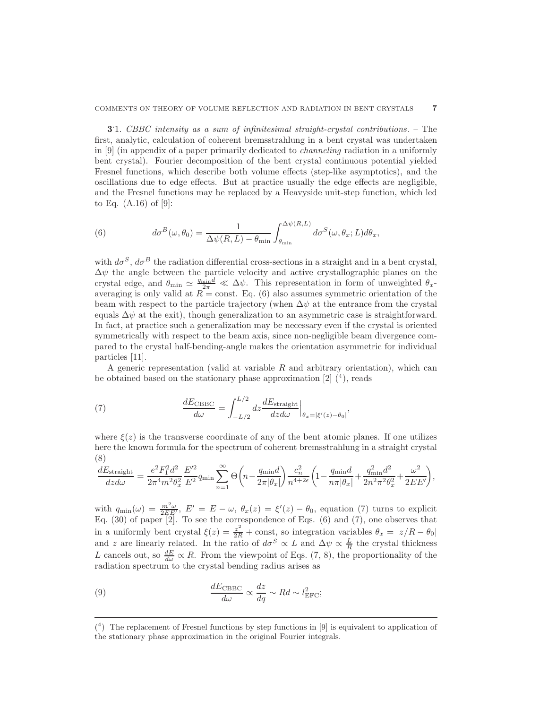3.1. CBBC intensity as a sum of infinitesimal straight-crystal contributions. – The first, analytic, calculation of coherent bremsstrahlung in a bent crystal was undertaken in [9] (in appendix of a paper primarily dedicated to channeling radiation in a uniformly bent crystal). Fourier decomposition of the bent crystal continuous potential yielded Fresnel functions, which describe both volume effects (step-like asymptotics), and the oscillations due to edge effects. But at practice usually the edge effects are negligible, and the Fresnel functions may be replaced by a Heavyside unit-step function, which led to Eq.  $(A.16)$  of  $[9]$ :

(6) 
$$
d\sigma^{B}(\omega,\theta_{0}) = \frac{1}{\Delta\psi(R,L) - \theta_{\min}} \int_{\theta_{\min}}^{\Delta\psi(R,L)} d\sigma^{S}(\omega,\theta_{x};L) d\theta_{x},
$$

with  $d\sigma^S$ ,  $d\sigma^B$  the radiation differential cross-sections in a straight and in a bent crystal,  $\Delta \psi$  the angle between the particle velocity and active crystallographic planes on the crystal edge, and  $\theta_{\min} \simeq \frac{q_{\min}d}{2\pi} \ll \Delta \psi$ . This representation in form of unweighted  $\theta_x$ averaging is only valid at  $R = \text{const.}$  Eq. (6) also assumes symmetric orientation of the beam with respect to the particle trajectory (when  $\Delta \psi$  at the entrance from the crystal equals  $\Delta \psi$  at the exit), though generalization to an asymmetric case is straightforward. In fact, at practice such a generalization may be necessary even if the crystal is oriented symmetrically with respect to the beam axis, since non-negligible beam divergence compared to the crystal half-bending-angle makes the orientation asymmetric for individual particles [11].

A generic representation (valid at variable  $R$  and arbitrary orientation), which can be obtained based on the stationary phase approximation  $[2]$   $(4)$ , reads

(7) 
$$
\frac{dE_{\text{CBBC}}}{d\omega} = \int_{-L/2}^{L/2} dz \frac{dE_{\text{straight}}}{dz d\omega} \Big|_{\theta_x = |\xi'(z) - \theta_0|},
$$

where  $\xi(z)$  is the transverse coordinate of any of the bent atomic planes. If one utilizes here the known formula for the spectrum of coherent bremsstrahlung in a straight crystal (8)

$$
\frac{dE_{\rm straight}}{dz d\omega} = \frac{e^2 F_1^2 d^2}{2\pi^4 m^2 \theta_x^2} \frac{E'^2}{E^2} q_{\rm min} \sum_{n=1}^{\infty} \Theta\left(n - \frac{q_{\rm min} d}{2\pi |\theta_x|}\right) \frac{c_n^2}{n^{4+2\epsilon}} \left(1 - \frac{q_{\rm min} d}{n\pi |\theta_x|} + \frac{q_{\rm min}^2 d^2}{2n^2 \pi^2 \theta_x^2} + \frac{\omega^2}{2 E E'}\right),
$$

with  $q_{\min}(\omega) = \frac{m^2\omega}{2E E'}$ ,  $E' = E - \omega$ ,  $\theta_x(z) = \xi'(z) - \theta_0$ , equation (7) turns to explicit Eq. (30) of paper [2]. To see the correspondence of Eqs. (6) and (7), one observes that in a uniformly bent crystal  $\xi(z) = \frac{z^2}{2R} + \text{const}$ , so integration variables  $\theta_x = |z/R - \theta_0|$ and z are linearly related. In the ratio of  $d\sigma^S \propto L$  and  $\Delta \psi \propto \frac{L}{R}$  the crystal thickness L cancels out, so  $\frac{dE}{d\omega} \propto R$ . From the viewpoint of Eqs. (7, 8), the proportionality of the radiation spectrum to the crystal bending radius arises as

(9) 
$$
\frac{dE_{\text{CBBC}}}{d\omega} \propto \frac{dz}{dq} \sim Rd \sim l_{\text{EFC}}^2;
$$

<sup>(</sup> 4 ) The replacement of Fresnel functions by step functions in [9] is equivalent to application of the stationary phase approximation in the original Fourier integrals.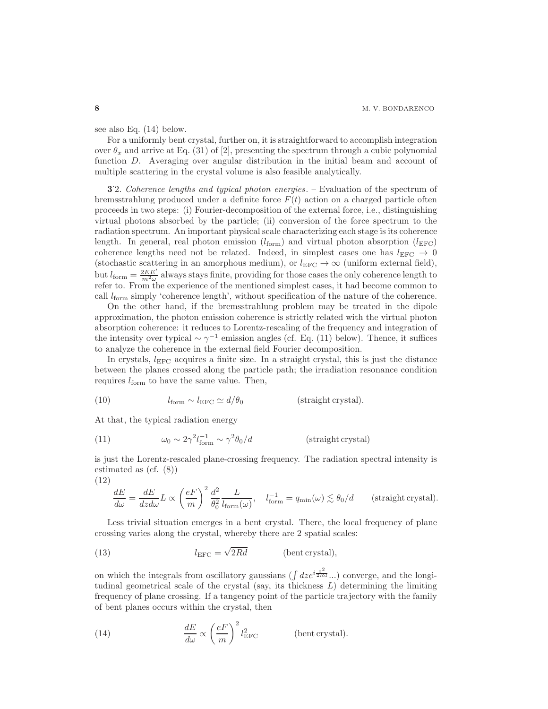see also Eq. (14) below.

For a uniformly bent crystal, further on, it is straightforward to accomplish integration over  $\theta_x$  and arrive at Eq. (31) of [2], presenting the spectrum through a cubic polynomial function D. Averaging over angular distribution in the initial beam and account of multiple scattering in the crystal volume is also feasible analytically.

3. 2. Coherence lengths and typical photon energies. – Evaluation of the spectrum of bremsstrahlung produced under a definite force  $F(t)$  action on a charged particle often proceeds in two steps: (i) Fourier-decomposition of the external force, i.e., distinguishing virtual photons absorbed by the particle; (ii) conversion of the force spectrum to the radiation spectrum. An important physical scale characterizing each stage is its coherence length. In general, real photon emission  $(l_{\text{form}})$  and virtual photon absorption  $(l_{\text{EFC}})$ coherence lengths need not be related. Indeed, in simplest cases one has  $l_{\text{EFC}} \rightarrow 0$ (stochastic scattering in an amorphous medium), or  $l_{\text{EFC}} \to \infty$  (uniform external field), but  $l_{\text{form}} = \frac{2EE'}{m^2\omega}$  always stays finite, providing for those cases the only coherence length to refer to. From the experience of the mentioned simplest cases, it had become common to call  $l_{\text{form}}$  simply 'coherence length', without specification of the nature of the coherence.

On the other hand, if the bremsstrahlung problem may be treated in the dipole approximation, the photon emission coherence is strictly related with the virtual photon absorption coherence: it reduces to Lorentz-rescaling of the frequency and integration of the intensity over typical  $\sim \gamma^{-1}$  emission angles (cf. Eq. (11) below). Thence, it suffices to analyze the coherence in the external field Fourier decomposition.

In crystals,  $l_{\text{EFC}}$  acquires a finite size. In a straight crystal, this is just the distance between the planes crossed along the particle path; the irradiation resonance condition requires  $l_{\text{form}}$  to have the same value. Then,

(10) 
$$
l_{\text{form}} \sim l_{\text{EFC}} \simeq d/\theta_0
$$
 (straight crystal).

At that, the typical radiation energy

(11) 
$$
\omega_0 \sim 2\gamma^2 l_{\text{form}}^{-1} \sim \gamma^2 \theta_0 / d \qquad \text{(straight crystal)}
$$

is just the Lorentz-rescaled plane-crossing frequency. The radiation spectral intensity is estimated as (cf. (8))

(12)

$$
\frac{dE}{d\omega} = \frac{dE}{dz d\omega} L \propto \left(\frac{eF}{m}\right)^2 \frac{d^2}{\theta_0^2} \frac{L}{l_{\text{form}}(\omega)}, \quad l_{\text{form}}^{-1} = q_{\text{min}}(\omega) \lesssim \theta_0/d \quad \text{(straight crystal)}.
$$

Less trivial situation emerges in a bent crystal. There, the local frequency of plane crossing varies along the crystal, whereby there are 2 spatial scales:

(13) 
$$
l_{\text{EFC}} = \sqrt{2Rd} \quad \text{(bent crystal)},
$$

on which the integrals from oscillatory gaussians ( $\int dz e^{i\frac{z^2}{2Rd}}$ ...) converge, and the longitudinal geometrical scale of the crystal (say, its thickness  $L$ ) determining the limiting frequency of plane crossing. If a tangency point of the particle trajectory with the family of bent planes occurs within the crystal, then

(14) 
$$
\frac{dE}{d\omega} \propto \left(\frac{eF}{m}\right)^2 l_{\text{EFC}}^2 \quad \text{(bent crystal)}.
$$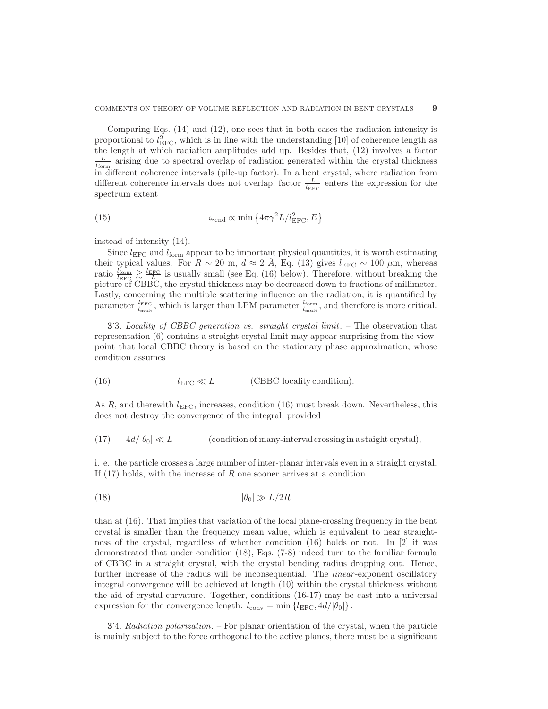Comparing Eqs. (14) and (12), one sees that in both cases the radiation intensity is proportional to  $l_{\text{EFC}}^2$ , which is in line with the understanding [10] of coherence length as the length at which radiation amplitudes add up. Besides that, (12) involves a factor  $\frac{L}{l_{\text{form}}}$  arising due to spectral overlap of radiation generated within the crystal thickness in different coherence intervals (pile-up factor). In a bent crystal, where radiation from different coherence intervals does not overlap, factor  $\frac{L}{l_{\text{EFC}}}$  enters the expression for the spectrum extent

(15) 
$$
\omega_{\text{end}} \propto \min \left\{ 4\pi \gamma^2 L / l_{\text{EFC}}^2, E \right\}
$$

instead of intensity (14).

Since  $l_{\text{EFC}}$  and  $l_{\text{form}}$  appear to be important physical quantities, it is worth estimating their typical values. For  $R \sim 20$  m,  $d \approx 2$  Å, Eq. (13) gives  $l_{\text{EFC}} \sim 100 \mu \text{m}$ , whereas ratio  $\frac{l_{\text{form}}}{l_{\text{EFC}}} \geq \frac{l_{\text{EFC}}}{L}$  is usually small (see Eq. (16) below). Therefore, without breaking the picture of CBBC, the crystal thickness may be decreased down to fractions of millimeter. Lastly, concerning the multiple scattering influence on the radiation, it is quantified by parameter  $\frac{l_{\text{EFC}}}{l_{\text{mult}}}$ , which is larger than LPM parameter  $\frac{l_{\text{form}}}{l_{\text{mult}}}$ , and therefore is more critical.

3.3. Locality of CBBC generation vs. straight crystal limit. – The observation that representation (6) contains a straight crystal limit may appear surprising from the viewpoint that local CBBC theory is based on the stationary phase approximation, whose condition assumes

(16) 
$$
l_{\text{EFC}} \ll L
$$
 (CBBC locality condition).

As R, and therewith  $l_{\text{EFC}}$ , increases, condition (16) must break down. Nevertheless, this does not destroy the convergence of the integral, provided

(17) 
$$
4d/|\theta_0| \ll L
$$
 (condition of many-interval crossing in a straight crystal),

i. e., the particle crosses a large number of inter-planar intervals even in a straight crystal. If  $(17)$  holds, with the increase of R one sooner arrives at a condition

$$
|\theta_0| \gg L/2R
$$

than at (16). That implies that variation of the local plane-crossing frequency in the bent crystal is smaller than the frequency mean value, which is equivalent to near straightness of the crystal, regardless of whether condition (16) holds or not. In [2] it was demonstrated that under condition (18), Eqs. (7-8) indeed turn to the familiar formula of CBBC in a straight crystal, with the crystal bending radius dropping out. Hence, further increase of the radius will be inconsequential. The *linear*-exponent oscillatory integral convergence will be achieved at length (10) within the crystal thickness without the aid of crystal curvature. Together, conditions (16-17) may be cast into a universal expression for the convergence length:  $l_{\text{conv}} = \min \{l_{\text{EFC}}, 4d/|\theta_0|\}.$ 

3.4. Radiation polarization. – For planar orientation of the crystal, when the particle is mainly subject to the force orthogonal to the active planes, there must be a significant